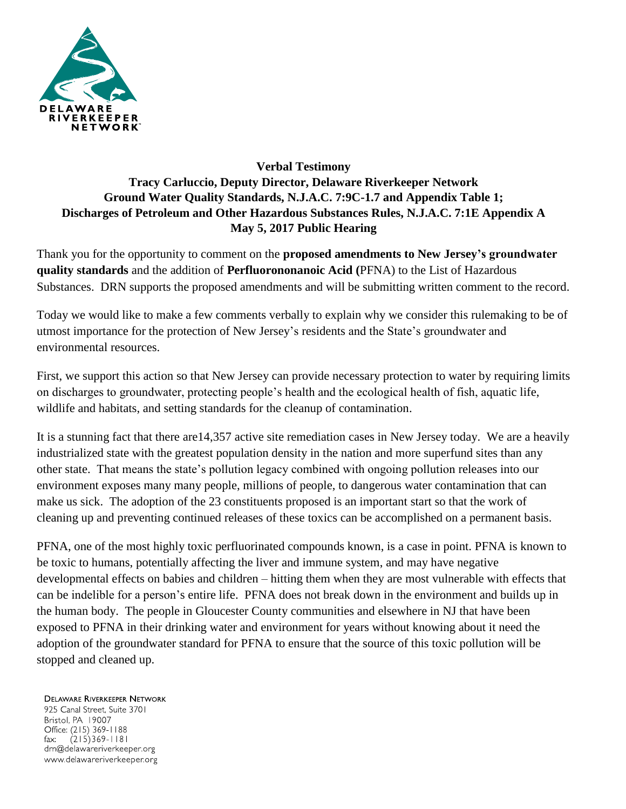

## **Verbal Testimony Tracy Carluccio, Deputy Director, Delaware Riverkeeper Network Ground Water Quality Standards, N.J.A.C. 7:9C-1.7 and Appendix Table 1; Discharges of Petroleum and Other Hazardous Substances Rules, N.J.A.C. 7:1E Appendix A May 5, 2017 Public Hearing**

Thank you for the opportunity to comment on the **proposed amendments to New Jersey's groundwater quality standards** and the addition of **Perfluorononanoic Acid (**PFNA) to the List of Hazardous Substances. DRN supports the proposed amendments and will be submitting written comment to the record.

Today we would like to make a few comments verbally to explain why we consider this rulemaking to be of utmost importance for the protection of New Jersey's residents and the State's groundwater and environmental resources.

First, we support this action so that New Jersey can provide necessary protection to water by requiring limits on discharges to groundwater, protecting people's health and the ecological health of fish, aquatic life, wildlife and habitats, and setting standards for the cleanup of contamination.

It is a stunning fact that there are14,357 active site remediation cases in New Jersey today. We are a heavily industrialized state with the greatest population density in the nation and more superfund sites than any other state. That means the state's pollution legacy combined with ongoing pollution releases into our environment exposes many many people, millions of people, to dangerous water contamination that can make us sick. The adoption of the 23 constituents proposed is an important start so that the work of cleaning up and preventing continued releases of these toxics can be accomplished on a permanent basis.

PFNA, one of the most highly toxic perfluorinated compounds known, is a case in point. PFNA is known to be toxic to humans, potentially affecting the liver and immune system, and may have negative developmental effects on babies and children – hitting them when they are most vulnerable with effects that can be indelible for a person's entire life. PFNA does not break down in the environment and builds up in the human body. The people in Gloucester County communities and elsewhere in NJ that have been exposed to PFNA in their drinking water and environment for years without knowing about it need the adoption of the groundwater standard for PFNA to ensure that the source of this toxic pollution will be stopped and cleaned up.

**DELAWARE RIVERKEEPER NETWORK** 

925 Canal Street, Suite 3701 Bristol, PA 19007 Office: (215) 369-1188  $(215)369 - 1181$ fax: drn@delawareriverkeeper.org www.delawareriverkeeper.org